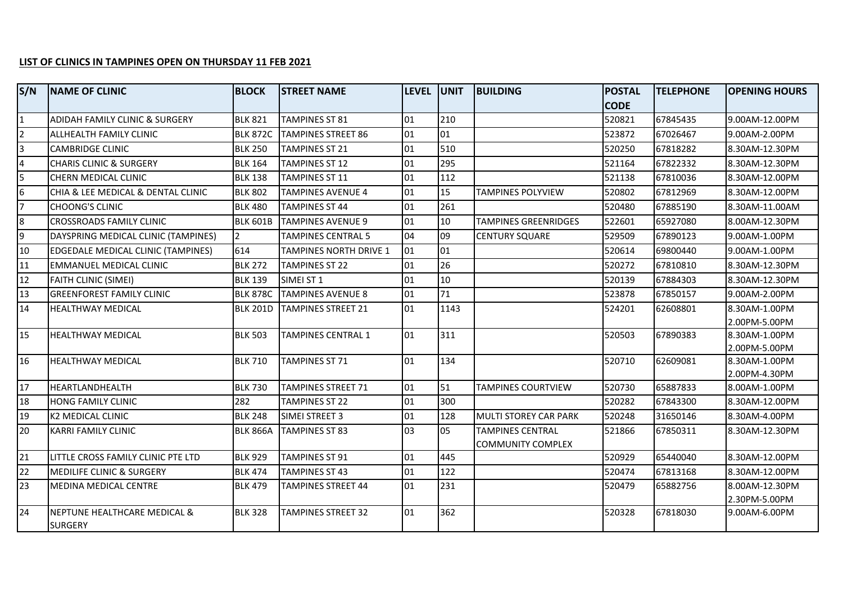## **LIST OF CLINICS IN TAMPINES OPEN ON THURSDAY 11 FEB 2021**

| S/N            | <b>NAME OF CLINIC</b>               | <b>BLOCK</b>    | <b>STREET NAME</b>            | LEVEL UNIT |      | <b>BUILDING</b>              | <b>POSTAL</b> | <b>TELEPHONE</b> | <b>OPENING HOURS</b>           |
|----------------|-------------------------------------|-----------------|-------------------------------|------------|------|------------------------------|---------------|------------------|--------------------------------|
|                |                                     |                 |                               |            |      |                              | <b>CODE</b>   |                  |                                |
| $\mathbf{1}$   | ADIDAH FAMILY CLINIC & SURGERY      | <b>BLK 821</b>  | <b>TAMPINES ST 81</b>         | 01         | 210  |                              | 520821        | 67845435         | 9.00AM-12.00PM                 |
| $\overline{2}$ | ALLHEALTH FAMILY CLINIC             | <b>BLK 872C</b> | <b>TAMPINES STREET 86</b>     | 01         | 01   |                              | 523872        | 67026467         | 9.00AM-2.00PM                  |
| $\overline{3}$ | <b>CAMBRIDGE CLINIC</b>             | <b>BLK 250</b>  | <b>TAMPINES ST 21</b>         | 01         | 510  |                              | 520250        | 67818282         | 8.30AM-12.30PM                 |
| $\overline{4}$ | <b>CHARIS CLINIC &amp; SURGERY</b>  | <b>BLK 164</b>  | <b>TAMPINES ST 12</b>         | 01         | 295  |                              | 521164        | 67822332         | 8.30AM-12.30PM                 |
| 5              | CHERN MEDICAL CLINIC                | <b>BLK 138</b>  | <b>TAMPINES ST 11</b>         | 01         | 112  |                              | 521138        | 67810036         | 8.30AM-12.00PM                 |
| 6              | CHIA & LEE MEDICAL & DENTAL CLINIC  | <b>BLK 802</b>  | <b>TAMPINES AVENUE 4</b>      | 01         | 15   | TAMPINES POLYVIEW            | 520802        | 67812969         | 8.30AM-12.00PM                 |
| $\overline{7}$ | <b>CHOONG'S CLINIC</b>              | <b>BLK 480</b>  | <b>TAMPINES ST 44</b>         | 01         | 261  |                              | 520480        | 67885190         | 8.30AM-11.00AM                 |
| 8              | <b>CROSSROADS FAMILY CLINIC</b>     | <b>BLK 601B</b> | <b>TAMPINES AVENUE 9</b>      | 01         | 10   | <b>TAMPINES GREENRIDGES</b>  | 522601        | 65927080         | 8.00AM-12.30PM                 |
| 9              | DAYSPRING MEDICAL CLINIC (TAMPINES) | $\overline{2}$  | <b>TAMPINES CENTRAL 5</b>     | 04         | 09   | <b>CENTURY SQUARE</b>        | 529509        | 67890123         | 9.00AM-1.00PM                  |
| 10             | EDGEDALE MEDICAL CLINIC (TAMPINES)  | 614             | <b>TAMPINES NORTH DRIVE 1</b> | 01         | 01   |                              | 520614        | 69800440         | 9.00AM-1.00PM                  |
| 11             | <b>EMMANUEL MEDICAL CLINIC</b>      | <b>BLK 272</b>  | <b>TAMPINES ST 22</b>         | 01         | 26   |                              | 520272        | 67810810         | 8.30AM-12.30PM                 |
| 12             | FAITH CLINIC (SIMEI)                | <b>BLK 139</b>  | SIMEI ST1                     | 01         | 10   |                              | 520139        | 67884303         | 8.30AM-12.30PM                 |
| 13             | <b>GREENFOREST FAMILY CLINIC</b>    | <b>BLK 878C</b> | <b>TAMPINES AVENUE 8</b>      | 01         | 71   |                              | 523878        | 67850157         | 9.00AM-2.00PM                  |
| 14             | <b>HEALTHWAY MEDICAL</b>            | <b>BLK 201D</b> | <b>TAMPINES STREET 21</b>     | 01         | 1143 |                              | 524201        | 62608801         | 8.30AM-1.00PM                  |
|                |                                     |                 |                               |            |      |                              |               |                  | 2.00PM-5.00PM                  |
| 15             | <b>HEALTHWAY MEDICAL</b>            | <b>BLK 503</b>  | TAMPINES CENTRAL 1            | 01         | 311  |                              | 520503        | 67890383         | 8.30AM-1.00PM                  |
|                |                                     |                 |                               |            |      |                              |               |                  | 2.00PM-5.00PM                  |
| 16             | <b>HEALTHWAY MEDICAL</b>            | <b>BLK 710</b>  | <b>TAMPINES ST 71</b>         | 01         | 134  |                              | 520710        | 62609081         | 8.30AM-1.00PM                  |
| 17             | HEARTLANDHEALTH                     | <b>BLK 730</b>  | <b>TAMPINES STREET 71</b>     | 01         | 51   | <b>TAMPINES COURTVIEW</b>    | 520730        | 65887833         | 2.00PM-4.30PM<br>8.00AM-1.00PM |
| 18             | <b>HONG FAMILY CLINIC</b>           | 282             | <b>TAMPINES ST 22</b>         | 01         | 300  |                              | 520282        | 67843300         | 8.30AM-12.00PM                 |
| 19             | K2 MEDICAL CLINIC                   | <b>BLK 248</b>  | SIMEI STREET 3                | 01         | 128  | <b>MULTI STOREY CAR PARK</b> | 520248        | 31650146         | 8.30AM-4.00PM                  |
| 20             | <b>KARRI FAMILY CLINIC</b>          | <b>BLK 866A</b> | <b>TAMPINES ST 83</b>         | 03         | 05   | <b>TAMPINES CENTRAL</b>      | 521866        | 67850311         | 8.30AM-12.30PM                 |
|                |                                     |                 |                               |            |      | <b>COMMUNITY COMPLEX</b>     |               |                  |                                |
| 21             | LITTLE CROSS FAMILY CLINIC PTE LTD  | <b>BLK 929</b>  | <b>TAMPINES ST 91</b>         | 01         | 445  |                              | 520929        | 65440040         | 8.30AM-12.00PM                 |
| 22             | MEDILIFE CLINIC & SURGERY           | <b>BLK 474</b>  | <b>TAMPINES ST 43</b>         | 01         | 122  |                              | 520474        | 67813168         | 8.30AM-12.00PM                 |
| 23             | MEDINA MEDICAL CENTRE               | <b>BLK 479</b>  | <b>TAMPINES STREET 44</b>     | 01         | 231  |                              | 520479        | 65882756         | 8.00AM-12.30PM                 |
|                |                                     |                 |                               |            |      |                              |               |                  | 2.30PM-5.00PM                  |
| 24             | NEPTUNE HEALTHCARE MEDICAL &        | <b>BLK 328</b>  | <b>TAMPINES STREET 32</b>     | 01         | 362  |                              | 520328        | 67818030         | 9.00AM-6.00PM                  |
|                | <b>SURGERY</b>                      |                 |                               |            |      |                              |               |                  |                                |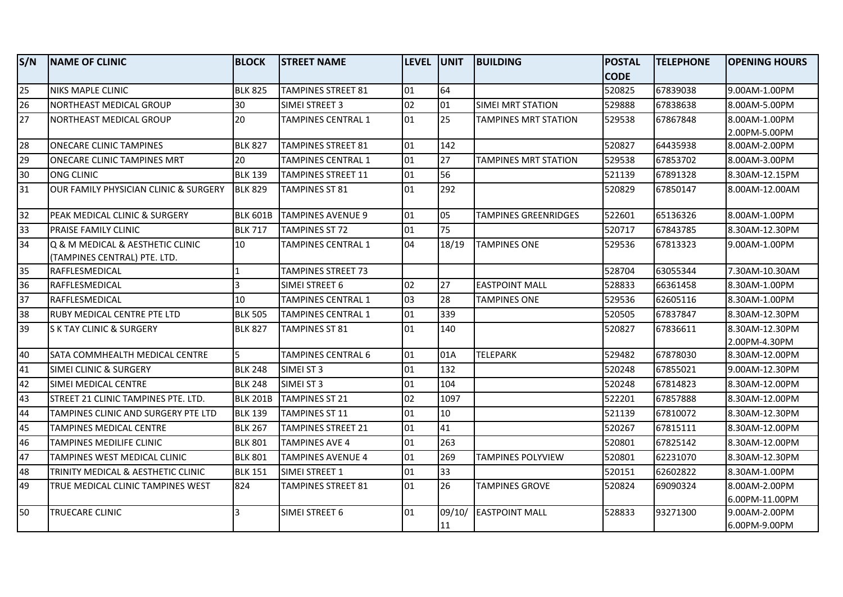| S/N | <b>NAME OF CLINIC</b>                          | <b>BLOCK</b>    | <b>STREET NAME</b>        | <b>LEVEL</b> | <b>UNIT</b> | <b>BUILDING</b>             | <b>POSTAL</b> | <b>TELEPHONE</b> | <b>OPENING HOURS</b>            |
|-----|------------------------------------------------|-----------------|---------------------------|--------------|-------------|-----------------------------|---------------|------------------|---------------------------------|
|     |                                                |                 |                           |              |             |                             | <b>CODE</b>   |                  |                                 |
| 25  | <b>NIKS MAPLE CLINIC</b>                       | <b>BLK 825</b>  | <b>TAMPINES STREET 81</b> | 01           | 64          |                             | 520825        | 67839038         | 9.00AM-1.00PM                   |
| 26  | NORTHEAST MEDICAL GROUP                        | 30              | SIMEI STREET 3            | 02           | 01          | <b>SIMEI MRT STATION</b>    | 529888        | 67838638         | 8.00AM-5.00PM                   |
| 27  | NORTHEAST MEDICAL GROUP                        | 20              | TAMPINES CENTRAL 1        | 01           | 25          | <b>TAMPINES MRT STATION</b> | 529538        | 67867848         | 8.00AM-1.00PM                   |
|     |                                                |                 |                           |              |             |                             |               |                  | 2.00PM-5.00PM                   |
| 28  | <b>ONECARE CLINIC TAMPINES</b>                 | <b>BLK 827</b>  | <b>TAMPINES STREET 81</b> | 01           | 142         |                             | 520827        | 64435938         | 8.00AM-2.00PM                   |
| 29  | ONECARE CLINIC TAMPINES MRT                    | 20              | <b>TAMPINES CENTRAL 1</b> | 01           | 27          | <b>TAMPINES MRT STATION</b> | 529538        | 67853702         | 8.00AM-3.00PM                   |
| 30  | <b>ONG CLINIC</b>                              | <b>BLK 139</b>  | TAMPINES STREET 11        | 01           | 56          |                             | 521139        | 67891328         | 8.30AM-12.15PM                  |
| 31  | OUR FAMILY PHYSICIAN CLINIC & SURGERY          | <b>BLK 829</b>  | TAMPINES ST 81            | 01           | 292         |                             | 520829        | 67850147         | 8.00AM-12.00AM                  |
| 32  | PEAK MEDICAL CLINIC & SURGERY                  | <b>BLK 601B</b> | TAMPINES AVENUE 9         | 01           | 05          | <b>TAMPINES GREENRIDGES</b> | 522601        | 65136326         | 8.00AM-1.00PM                   |
| 33  | <b>PRAISE FAMILY CLINIC</b>                    | <b>BLK 717</b>  | <b>TAMPINES ST 72</b>     | 01           | 75          |                             | 520717        | 67843785         | 8.30AM-12.30PM                  |
| 34  | Q & M MEDICAL & AESTHETIC CLINIC               | 10              | TAMPINES CENTRAL 1        | 04           | 18/19       | <b>TAMPINES ONE</b>         | 529536        | 67813323         | 9.00AM-1.00PM                   |
| 35  | (TAMPINES CENTRAL) PTE. LTD.<br>RAFFLESMEDICAL | $\mathbf{1}$    | <b>TAMPINES STREET 73</b> |              |             |                             | 528704        | 63055344         | 7.30AM-10.30AM                  |
| 36  | RAFFLESMEDICAL                                 | $\overline{3}$  | SIMEI STREET 6            | 02           | 27          | <b>EASTPOINT MALL</b>       | 528833        | 66361458         | 8.30AM-1.00PM                   |
| 37  | RAFFLESMEDICAL                                 | 10              | <b>TAMPINES CENTRAL 1</b> | lo3          | 28          | <b>TAMPINES ONE</b>         | 529536        | 62605116         | 8.30AM-1.00PM                   |
|     |                                                | <b>BLK 505</b>  |                           | 01           | 339         |                             |               |                  |                                 |
| 38  | <b>RUBY MEDICAL CENTRE PTE LTD</b>             |                 | <b>TAMPINES CENTRAL 1</b> |              |             |                             | 520505        | 67837847         | 8.30AM-12.30PM                  |
| 39  | <b>SK TAY CLINIC &amp; SURGERY</b>             | <b>BLK 827</b>  | TAMPINES ST 81            | 01           | 140         |                             | 520827        | 67836611         | 8.30AM-12.30PM<br>2.00PM-4.30PM |
| 40  | SATA COMMHEALTH MEDICAL CENTRE                 | 5               | <b>TAMPINES CENTRAL 6</b> | 01           | 01A         | <b>TELEPARK</b>             | 529482        | 67878030         | 8.30AM-12.00PM                  |
| 41  | SIMEI CLINIC & SURGERY                         | <b>BLK 248</b>  | SIMEI ST 3                | 01           | 132         |                             | 520248        | 67855021         | 9.00AM-12.30PM                  |
| 42  | SIMEI MEDICAL CENTRE                           | <b>BLK 248</b>  | SIMEI ST 3                | 01           | 104         |                             | 520248        | 67814823         | 8.30AM-12.00PM                  |
| 43  | STREET 21 CLINIC TAMPINES PTE. LTD.            | <b>BLK 201B</b> | <b>TAMPINES ST 21</b>     | 02           | 1097        |                             | 522201        | 67857888         | 8.30AM-12.00PM                  |
| 44  | TAMPINES CLINIC AND SURGERY PTE LTD            | <b>BLK 139</b>  | <b>TAMPINES ST 11</b>     | 01           | 10          |                             | 521139        | 67810072         | 8.30AM-12.30PM                  |
| 45  | TAMPINES MEDICAL CENTRE                        | <b>BLK 267</b>  | <b>TAMPINES STREET 21</b> | 01           | 41          |                             | 520267        | 67815111         | 8.30AM-12.00PM                  |
| 46  | TAMPINES MEDILIFE CLINIC                       | <b>BLK 801</b>  | TAMPINES AVE 4            | 01           | 263         |                             | 520801        | 67825142         | 8.30AM-12.00PM                  |
| 47  | <b>TAMPINES WEST MEDICAL CLINIC</b>            | <b>BLK 801</b>  | TAMPINES AVENUE 4         | 01           | 269         | TAMPINES POLYVIEW           | 520801        | 62231070         | 8.30AM-12.30PM                  |
| 48  | TRINITY MEDICAL & AESTHETIC CLINIC             | <b>BLK 151</b>  | SIMEI STREET 1            | 01           | 33          |                             | 520151        | 62602822         | 8.30AM-1.00PM                   |
| 49  | TRUE MEDICAL CLINIC TAMPINES WEST              | 824             | TAMPINES STREET 81        | 01           | 26          | <b>TAMPINES GROVE</b>       | 520824        | 69090324         | 8.00AM-2.00PM                   |
|     |                                                |                 |                           |              |             |                             |               |                  | 6.00PM-11.00PM                  |
| 50  | TRUECARE CLINIC                                | $\overline{3}$  | SIMEI STREET 6            | 101          | 09/10/      | <b>EASTPOINT MALL</b>       | 528833        | 93271300         | 9.00AM-2.00PM                   |
|     |                                                |                 |                           |              | 11          |                             |               |                  | 16.00PM-9.00PM                  |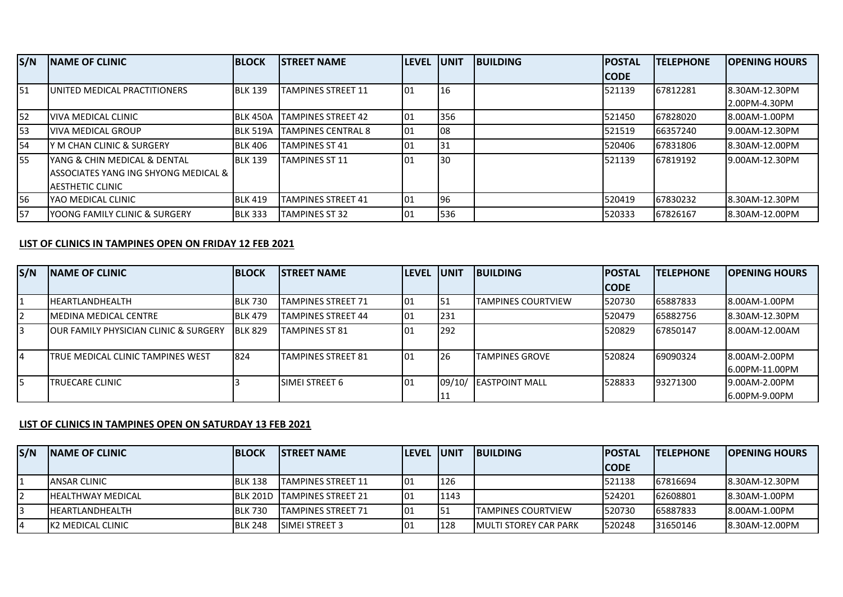| S/N | <b>INAME OF CLINIC</b>                | <b>BLOCK</b>    | <b>ISTREET NAME</b>        | <b>LEVEL UNIT</b> |     | <b>IBUILDING</b> | <b>POSTAL</b> | <b>ITELEPHONE</b> | <b>OPENING HOURS</b> |
|-----|---------------------------------------|-----------------|----------------------------|-------------------|-----|------------------|---------------|-------------------|----------------------|
|     |                                       |                 |                            |                   |     |                  | <b>ICODE</b>  |                   |                      |
| 151 | UNITED MEDICAL PRACTITIONERS          | <b>BLK 139</b>  | <b>TAMPINES STREET 11</b>  | 101               | 16  |                  | 521139        | 67812281          | 8.30AM-12.30PM       |
|     |                                       |                 |                            |                   |     |                  |               |                   | 2.00PM-4.30PM        |
| 52  | <u>IVIVA MEDICAL CLINIC</u>           | BLK 450A        | <b>ITAMPINES STREET 42</b> | 101               | 356 |                  | 521450        | 67828020          | 8.00AM-1.00PM        |
| I53 | <b>VIVA MEDICAL GROUP</b>             | <b>BLK 519A</b> | <b>ITAMPINES CENTRAL 8</b> | 101               | 108 |                  | 521519        | 66357240          | 19.00AM-12.30PM      |
| 54  | IY M CHAN CLINIC & SURGERY            | <b>BLK 406</b>  | <b>TAMPINES ST 41</b>      | 101               | 31  |                  | 520406        | 67831806          | 8.30AM-12.00PM       |
| I55 | IYANG & CHIN MEDICAL & DENTAL         | <b>BLK 139</b>  | <b>TAMPINES ST 11</b>      | 101               | 30  |                  | 521139        | 67819192          | 19.00AM-12.30PM      |
|     | lASSOCIATES YANG ING SHYONG MEDICAL & |                 |                            |                   |     |                  |               |                   |                      |
|     | IAESTHETIC CLINIC                     |                 |                            |                   |     |                  |               |                   |                      |
| 56  | IYAO MEDICAL CLINIC                   | <b>BLK 419</b>  | TAMPINES STREET 41         | 01                | 96  |                  | 520419        | 67830232          | 8.30AM-12.30PM       |
| 57  | YOONG FAMILY CLINIC & SURGERY         | <b>BLK 333</b>  | <b>TAMPINES ST 32</b>      | 01                | 536 |                  | 520333        | 67826167          | 8.30AM-12.00PM       |

## **LIST OF CLINICS IN TAMPINES OPEN ON FRIDAY 12 FEB 2021**

| S/N | <b>INAME OF CLINIC</b>                            | <b>BLOCK</b>   | <b>ISTREET NAME</b>       | <b>ILEVEL</b> | <b>IUNIT</b> | <b>IBUILDING</b>          | <b>POSTAL</b> | <b>ITELEPHONE</b> | <b>OPENING HOURS</b>            |
|-----|---------------------------------------------------|----------------|---------------------------|---------------|--------------|---------------------------|---------------|-------------------|---------------------------------|
|     |                                                   |                |                           |               |              |                           | <b>ICODE</b>  |                   |                                 |
|     | <b>IHEARTLANDHEALTH</b>                           | <b>BLK 730</b> | TAMPINES STREET 71        | 101           | 151          | <b>TAMPINES COURTVIEW</b> | 520730        | 65887833          | 18.00AM-1.00PM                  |
| 12. | IMEDINA MEDICAL CENTRE                            | <b>BLK 479</b> | <b>TAMPINES STREET 44</b> | 101           | 231          |                           | 520479        | 65882756          | 8.30AM-12.30PM                  |
| 3   | <b>JOUR FAMILY PHYSICIAN CLINIC &amp; SURGERY</b> | <b>BLK 829</b> | <b>TAMPINES ST 81</b>     | 101           | 292          |                           | 520829        | 67850147          | 8.00AM-12.00AM                  |
| 4   | TRUE MEDICAL CLINIC TAMPINES WEST                 | 824            | ITAMPINES STREET 81       | 101           | 26           | <b>TAMPINES GROVE</b>     | 520824        | 69090324          | 8.00AM-2.00PM<br>6.00PM-11.00PM |
| l5  | <b>ITRUECARE CLINIC</b>                           |                | <b>ISIMEI STREET 6</b>    | 101           | 09/10/       | <b>IEASTPOINT MALL</b>    | 528833        | 93271300          | 19.00AM-2.00PM<br>6.00PM-9.00PM |

## **LIST OF CLINICS IN TAMPINES OPEN ON SATURDAY 13 FEB 2021**

| S/N | <b>INAME OF CLINIC</b>    | <b>IBLOCK</b>  | <b>ISTREET NAME</b>                 | <b>ILEVEL UNIT</b> |      | <b>IBUILDING</b>              | <b>IPOSTAL</b> | <b>ITELEPHONE</b> | <b>IOPENING HOURS</b> |
|-----|---------------------------|----------------|-------------------------------------|--------------------|------|-------------------------------|----------------|-------------------|-----------------------|
|     |                           |                |                                     |                    |      |                               | <b>CODE</b>    |                   |                       |
|     | <b>ANSAR CLINIC</b>       | <b>BLK 138</b> | <b>ITAMPINES STREET 11</b>          | 101                | 126  |                               | 521138         | 67816694          | 18.30AM-12.30PM       |
|     | <b>IHEALTHWAY MEDICAL</b> |                | <b>IBLK 201D TAMPINES STREET 21</b> | 101                | 1143 |                               | 524201         | 62608801          | 8.30AM-1.00PM         |
|     | <b>IHEARTLANDHEALTH</b>   | <b>BLK 730</b> | <b>ITAMPINES STREET 71</b>          | l01                | 151  | <b>ITAMPINES COURTVIEW</b>    | 1520730        | 65887833          | 8.00AM-1.00PM         |
|     | IK2 MEDICAL CLINIC        | <b>BLK 248</b> | <b>ISIMELSTREET 3</b>               | 101                | 128  | <b>IMULTI STOREY CAR PARK</b> | 1520248        | 31650146          | 8.30AM-12.00PM        |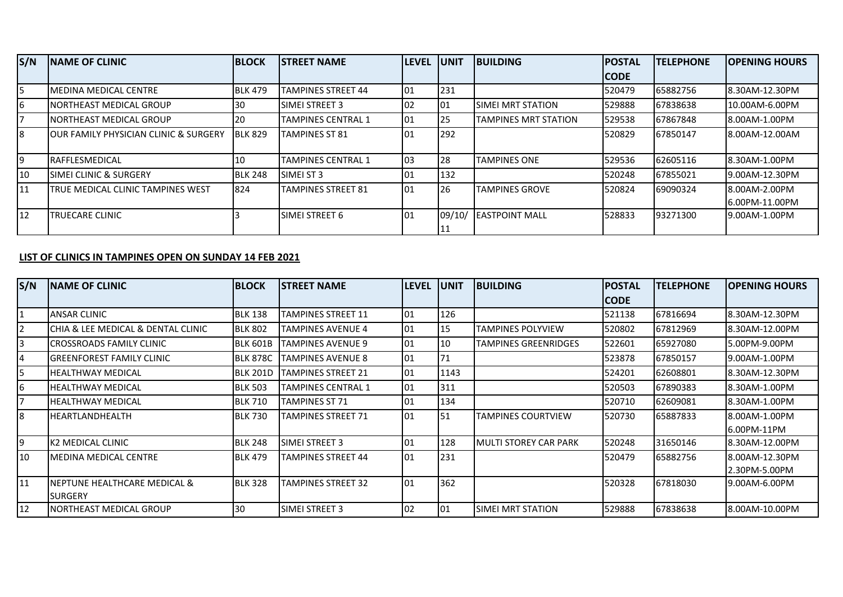| S/N | <b>INAME OF CLINIC</b>                            | <b>BLOCK</b>   | <b>ISTREET NAME</b>       | <b>LEVEL</b>     | <b>UNIT</b> | <b>BUILDING</b>           | <b>IPOSTAL</b> | <b>TELEPHONE</b> | <b>IOPENING HOURS</b>           |
|-----|---------------------------------------------------|----------------|---------------------------|------------------|-------------|---------------------------|----------------|------------------|---------------------------------|
|     |                                                   |                |                           |                  |             |                           | <b>ICODE</b>   |                  |                                 |
| 5   | IMEDINA MEDICAL CENTRE                            | <b>BLK 479</b> | TAMPINES STREET 44        | 101              | 231         |                           | 1520479        | 65882756         | 8.30AM-12.30PM                  |
| 6   | INORTHEAST MEDICAL GROUP                          | 30             | ISIMEI STREET 3           | 02               | 01          | <b>ISIMEI MRT STATION</b> | 529888         | 67838638         | 10.00AM-6.00PM                  |
| 7   | <b>INORTHEAST MEDICAL GROUP</b>                   | 20             | TAMPINES CENTRAL 1        | 101              | 25          | ITAMPINES MRT STATION     | 1529538        | 67867848         | 8.00AM-1.00PM                   |
| 18  | <b>JOUR FAMILY PHYSICIAN CLINIC &amp; SURGERY</b> | <b>BLK 829</b> | <b>TAMPINES ST 81</b>     | $\overline{101}$ | 292         |                           | 520829         | 67850147         | 8.00AM-12.00AM                  |
| 19  | <b>IRAFFLESMEDICAL</b>                            | -10            | <b>TAMPINES CENTRAL 1</b> | 103              | 28          | <b>TAMPINES ONE</b>       | 529536         | 62605116         | 8.30AM-1.00PM                   |
| 10  | <b>ISIMEI CLINIC &amp; SURGERY</b>                | <b>BLK 248</b> | <b>SIMELST 3</b>          | 101              | 132         |                           | 1520248        | 67855021         | 19.00AM-12.30PM                 |
| 11  | TRUE MEDICAL CLINIC TAMPINES WEST                 | 824            | <b>TAMPINES STREET 81</b> | $\overline{101}$ | 26          | <b>TAMPINES GROVE</b>     | 1520824        | 69090324         | 8.00AM-2.00PM<br>6.00PM-11.00PM |
| I12 | TRUECARE CLINIC                                   |                | <b>ISIMEI STREET 6</b>    | l01              | 09/10/      | <b>LEASTPOINT MALL</b>    | 528833         | 93271300         | 19.00AM-1.00PM                  |

## **LIST OF CLINICS IN TAMPINES OPEN ON SUNDAY 14 FEB 2021**

| S/N            | <b>NAME OF CLINIC</b>              | <b>BLOCK</b>    | <b>STREET NAME</b> | llevel | <b>JUNIT</b> | <b>BUILDING</b>             | <b>POSTAL</b> | <b>TELEPHONE</b> | <b>OPENING HOURS</b> |
|----------------|------------------------------------|-----------------|--------------------|--------|--------------|-----------------------------|---------------|------------------|----------------------|
|                |                                    |                 |                    |        |              |                             | CODE          |                  |                      |
| 1              | <b>ANSAR CLINIC</b>                | <b>BLK 138</b>  | TAMPINES STREET 11 | 01     | 126          |                             | 521138        | 67816694         | 8.30AM-12.30PM       |
| $\overline{2}$ | CHIA & LEE MEDICAL & DENTAL CLINIC | <b>BLK 802</b>  | TAMPINES AVENUE 4  | 01     | 15           | <b>TAMPINES POLYVIEW</b>    | 520802        | 67812969         | 8.30AM-12.00PM       |
| 3              | CROSSROADS FAMILY CLINIC           | <b>BLK 601B</b> | TAMPINES AVENUE 9  | 101    | 10           | <b>TAMPINES GREENRIDGES</b> | 522601        | 65927080         | 5.00PM-9.00PM        |
| 4              | <b>GREENFOREST FAMILY CLINIC</b>   | <b>BLK 878C</b> | TAMPINES AVENUE 8  | 01     | 71           |                             | 523878        | 67850157         | 9.00AM-1.00PM        |
| 5              | <b>HEALTHWAY MEDICAL</b>           | <b>BLK 201D</b> | TAMPINES STREET 21 | 101    | 1143         |                             | 524201        | 62608801         | 8.30AM-12.30PM       |
| 6              | <b>HEALTHWAY MEDICAL</b>           | <b>BLK 503</b>  | TAMPINES CENTRAL 1 | 01     | 311          |                             | 520503        | 67890383         | 8.30AM-1.00PM        |
| 17             | <b>HEALTHWAY MEDICAL</b>           | <b>BLK 710</b>  | TAMPINES ST 71     | 101    | 134          |                             | 520710        | 62609081         | 8.30AM-1.00PM        |
| 8              | HEARTLANDHEALTH                    | <b>BLK 730</b>  | TAMPINES STREET 71 | 101    | 51           | <b>TAMPINES COURTVIEW</b>   | 520730        | 65887833         | 8.00AM-1.00PM        |
|                |                                    |                 |                    |        |              |                             |               |                  | 16.00PM-11PM         |
| 9              | K2 MEDICAL CLINIC                  | <b>BLK 248</b>  | SIMEI STREET 3     | 101    | 128          | IMULTI STOREY CAR PARK      | 520248        | 31650146         | 8.30AM-12.00PM       |
| 10             | <b>MEDINA MEDICAL CENTRE</b>       | <b>BLK 479</b>  | TAMPINES STREET 44 | 01     | 231          |                             | 520479        | 65882756         | 8.00AM-12.30PM       |
|                |                                    |                 |                    |        |              |                             |               |                  | 2.30PM-5.00PM        |
| 11             | INEPTUNE HEALTHCARE MEDICAL &      | <b>BLK 328</b>  | TAMPINES STREET 32 | 101    | 362          |                             | 520328        | 67818030         | 19.00AM-6.00PM       |
|                | <b>ISURGERY</b>                    |                 |                    |        |              |                             |               |                  |                      |
| 12             | INORTHEAST MEDICAL GROUP           | 30              | SIMEI STREET 3     | 102    | 01           | ISIMEI MRT STATION          | 529888        | 67838638         | 8.00AM-10.00PM       |